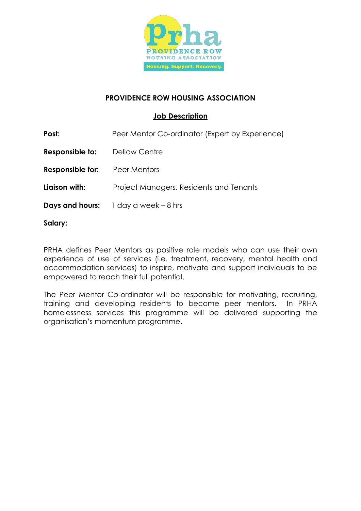

## **PROVIDENCE ROW HOUSING ASSOCIATION**

## **Job Description**

**Post:** Peer Mentor Co-ordinator (Expert by Experience)

**Responsible to:** Dellow Centre

**Responsible for:** Peer Mentors

**Liaison with:** Project Managers, Residents and Tenants

**Days and hours:** 1 day a week – 8 hrs

**Salary:**

PRHA defines Peer Mentors as positive role models who can use their own experience of use of services (i.e. treatment, recovery, mental health and accommodation services) to inspire, motivate and support individuals to be empowered to reach their full potential.

The Peer Mentor Co-ordinator will be responsible for motivating, recruiting, training and developing residents to become peer mentors. In PRHA homelessness services this programme will be delivered supporting the organisation's momentum programme.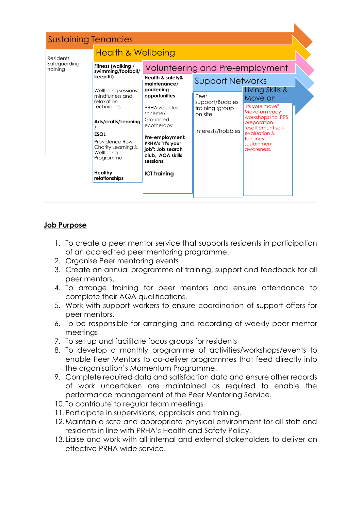|                          | <b>Sustaining Tenancies</b>                                                     |                                                                                                                                                                                                                          |                                                                            |                                                                                                                                                                 |
|--------------------------|---------------------------------------------------------------------------------|--------------------------------------------------------------------------------------------------------------------------------------------------------------------------------------------------------------------------|----------------------------------------------------------------------------|-----------------------------------------------------------------------------------------------------------------------------------------------------------------|
| <b>Residents</b>         | <b>Health &amp; Wellbeing</b>                                                   |                                                                                                                                                                                                                          |                                                                            |                                                                                                                                                                 |
| Safeguarding<br>training | Fitness (walking /<br>swimming/football/                                        |                                                                                                                                                                                                                          | Volunteering and Pre-employment                                            |                                                                                                                                                                 |
|                          | keep fit)<br>Wellbeing sessions:<br>mindfulness and<br>relaxation<br>techniques | Health & safety&<br>maintenance/<br>gardening<br>opportunities<br>PRHA volunteer<br>scheme/<br>Grounded<br>ecotherapy<br>Pre-employment:<br><b>PRHA's "It's your</b><br>job": Job search<br>club, AQA skills<br>sessions | <b>Support Networks</b><br>Living Skills &                                 |                                                                                                                                                                 |
|                          |                                                                                 |                                                                                                                                                                                                                          | Peer<br>support/Buddies<br>training :group<br>on site<br>Interests/hobbies | Move on<br>"Its your move"<br>Move-on ready<br>workshops incl.PRS<br>preparation,<br>resettlement self-<br>evaluation &<br>tenancy<br>sustainment<br>awareness. |
|                          | Arts/crafts/Learning<br><b>ESOL</b>                                             |                                                                                                                                                                                                                          |                                                                            |                                                                                                                                                                 |
|                          | Providence Row<br>Charity Learning &<br>Wellbeing<br>Programme                  |                                                                                                                                                                                                                          |                                                                            |                                                                                                                                                                 |
|                          | Healthy<br>relationships                                                        | <b>ICT training</b>                                                                                                                                                                                                      |                                                                            |                                                                                                                                                                 |

## **Job Purpose**

- 1. To create a peer mentor service that supports residents in participation of an accredited peer mentoring programme.
- 2. Organise Peer mentoring events
- 3. Create an annual programme of training, support and feedback for all peer mentors.
- 4. To arrange training for peer mentors and ensure attendance to complete their AQA qualifications.
- 5. Work with support workers to ensure coordination of support offers for peer mentors.
- 6. To be responsible for arranging and recording of weekly peer mentor meetings
- 7. To set up and facilitate focus groups for residents
- 8. To develop a monthly programme of activities/workshops/events to enable Peer Mentors to co-deliver programmes that feed directly into the organisation's Momentum Programme.
- 9. Complete required data and satisfaction data and ensure other records of work undertaken are maintained as required to enable the performance management of the Peer Mentoring Service.
- 10. To contribute to regular team meetings
- 11.Participate in supervisions, appraisals and training.
- 12.Maintain a safe and appropriate physical environment for all staff and residents in line with PRHA's Health and Safety Policy.
- 13.Liaise and work with all internal and external stakeholders to deliver an effective PRHA wide service.